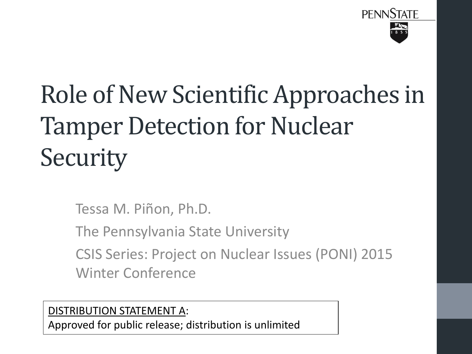

# Role of New Scientific Approaches in Tamper Detection for Nuclear **Security**

Tessa M. Piñon, Ph.D.

The Pennsylvania State University

CSIS Series: Project on Nuclear Issues (PONI) 2015 Winter Conference

DISTRIBUTION STATEMENT A:

Approved for public release; distribution is unlimited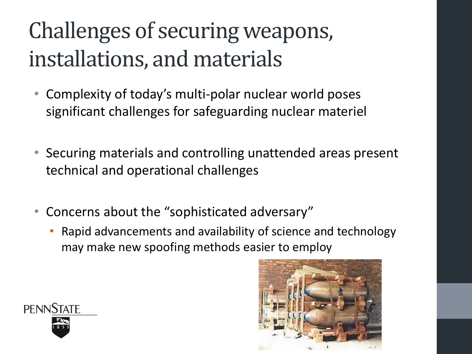### Challenges of securing weapons, installations, and materials

- Complexity of today's multi-polar nuclear world poses significant challenges for safeguarding nuclear materiel
- Securing materials and controlling unattended areas present technical and operational challenges
- Concerns about the "sophisticated adversary"
	- Rapid advancements and availability of science and technology may make new spoofing methods easier to employ



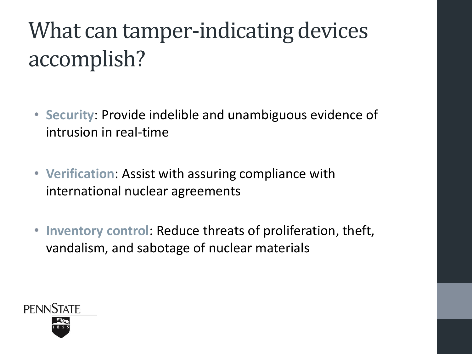## What can tamper-indicating devices accomplish?

- **Security**: Provide indelible and unambiguous evidence of intrusion in real-time
- **Verification**: Assist with assuring compliance with international nuclear agreements
- **Inventory control**: Reduce threats of proliferation, theft, vandalism, and sabotage of nuclear materials

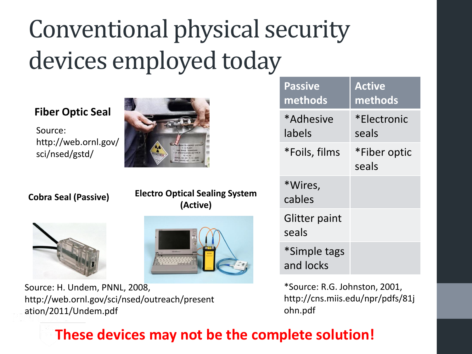# Conventional physical security devices employed today

#### **Fiber Optic Seal**

Source: http://web.ornl.gov/ sci/nsed/gstd/

**Cobra Seal (Passive) Electro Optical Sealing System (Active)**





Source: H. Undem, PNNL, 2008, http://web.ornl.gov/sci/nsed/outreach/present ation/2011/Undem.pdf

| <b>Passive</b><br>methods | <b>Active</b><br>methods |
|---------------------------|--------------------------|
| *Adhesive<br>labels       | *Electronic<br>seals     |
| *Foils, films             | *Fiber optic<br>seals    |
| *Wires,<br>cables         |                          |
| Glitter paint<br>seals    |                          |
| *Simple tags<br>and locks |                          |

\*Source: R.G. Johnston, 2001, http://cns.miis.edu/npr/pdfs/81j ohn.pdf

#### **These devices may not be the complete solution!**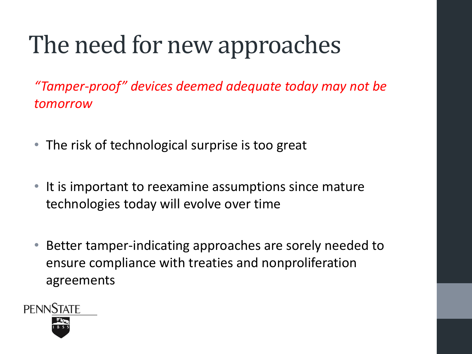## The need for new approaches

*"Tamper-proof" devices deemed adequate today may not be tomorrow*

- The risk of technological surprise is too great
- It is important to reexamine assumptions since mature technologies today will evolve over time
- Better tamper-indicating approaches are sorely needed to ensure compliance with treaties and nonproliferation agreements

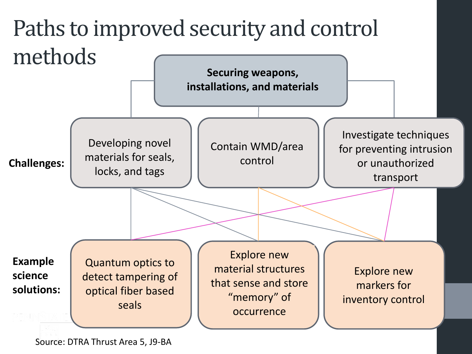

Source: DTRA Thrust Area 5, J9-BA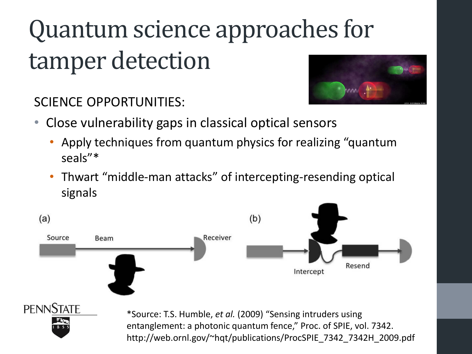# Quantum science approaches for tamper detection



SCIENCE OPPORTUNITIES:

- Close vulnerability gaps in classical optical sensors
	- Apply techniques from quantum physics for realizing "quantum seals"\*
	- Thwart "middle-man attacks" of intercepting-resending optical signals

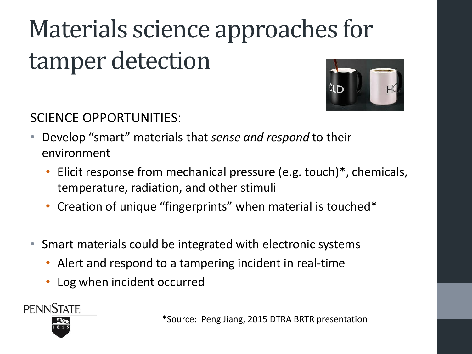# Materials science approaches for tamper detection



SCIENCE OPPORTUNITIES:

- Develop "smart" materials that *sense and respond* to their environment
	- Elicit response from mechanical pressure (e.g. touch)<sup>\*</sup>, chemicals, temperature, radiation, and other stimuli
	- Creation of unique "fingerprints" when material is touched\*
- Smart materials could be integrated with electronic systems
	- Alert and respond to a tampering incident in real-time
	- Log when incident occurred

**PENNSTATE** 

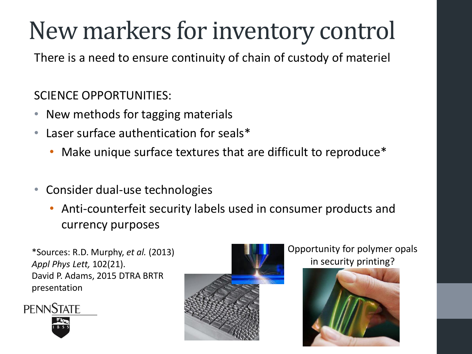## New markers for inventory control

There is a need to ensure continuity of chain of custody of materiel

#### SCIENCE OPPORTUNITIES:

- New methods for tagging materials
- Laser surface authentication for seals\*
	- Make unique surface textures that are difficult to reproduce\*
- Consider dual-use technologies
	- Anti-counterfeit security labels used in consumer products and currency purposes

\*Sources: R.D. Murphy, *et al.* (2013) *Appl Phys Lett,* 102(21). David P. Adams, 2015 DTRA BRTR presentation





#### Opportunity for polymer opals in security printing?

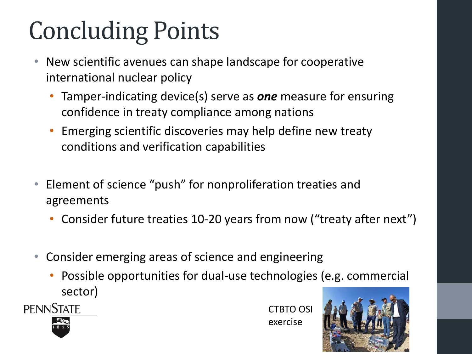# Concluding Points

- New scientific avenues can shape landscape for cooperative international nuclear policy
	- Tamper-indicating device(s) serve as *one* measure for ensuring confidence in treaty compliance among nations
	- Emerging scientific discoveries may help define new treaty conditions and verification capabilities
- Element of science "push" for nonproliferation treaties and agreements
	- Consider future treaties 10-20 years from now ("treaty after next")
- Consider emerging areas of science and engineering
	- Possible opportunities for dual-use technologies (e.g. commercial sector)

**PENNSTATE** 

CTBTO OSI exercise